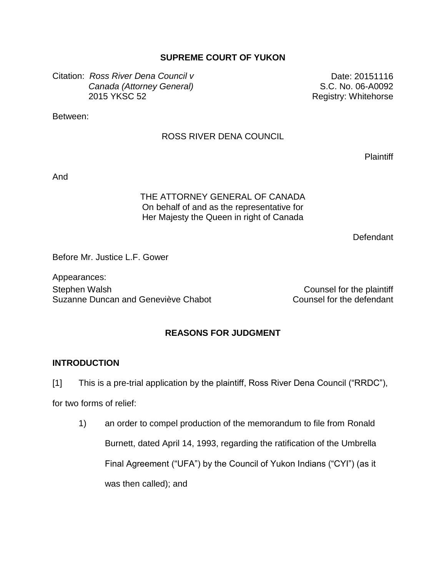## **SUPREME COURT OF YUKON**

Citation: *Ross River Dena Council v Canada (Attorney General)* 2015 YKSC 52

Date: 20151116 S.C. No. 06-A0092 Registry: Whitehorse

Between:

### ROSS RIVER DENA COUNCIL

**Plaintiff** 

And

## THE ATTORNEY GENERAL OF CANADA On behalf of and as the representative for Her Majesty the Queen in right of Canada

**Defendant** 

Before Mr. Justice L.F. Gower

Appearances: Stephen Walsh Counsel for the plaintiff Suzanne Duncan and Geneviève Chabot Counsel for the defendant

## **REASONS FOR JUDGMENT**

#### **INTRODUCTION**

[1] This is a pre-trial application by the plaintiff, Ross River Dena Council ("RRDC"),

for two forms of relief:

1) an order to compel production of the memorandum to file from Ronald Burnett, dated April 14, 1993, regarding the ratification of the Umbrella Final Agreement ("UFA") by the Council of Yukon Indians ("CYI") (as it was then called); and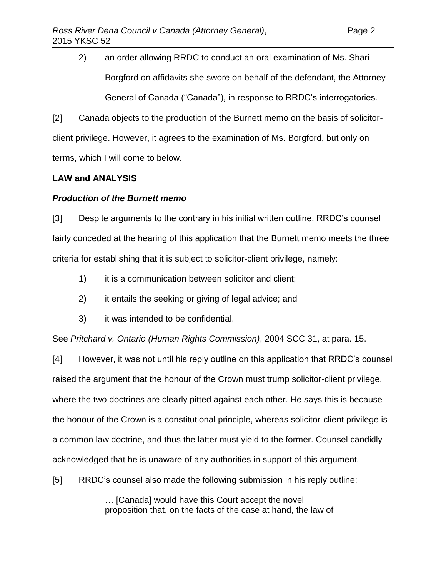2) an order allowing RRDC to conduct an oral examination of Ms. Shari Borgford on affidavits she swore on behalf of the defendant, the Attorney General of Canada ("Canada"), in response to RRDC's interrogatories.

[2] Canada objects to the production of the Burnett memo on the basis of solicitorclient privilege. However, it agrees to the examination of Ms. Borgford, but only on terms, which I will come to below.

## **LAW and ANALYSIS**

## *Production of the Burnett memo*

[3] Despite arguments to the contrary in his initial written outline, RRDC's counsel fairly conceded at the hearing of this application that the Burnett memo meets the three criteria for establishing that it is subject to solicitor-client privilege, namely:

- 1) it is a communication between solicitor and client;
- 2) it entails the seeking or giving of legal advice; and
- 3) it was intended to be confidential.

See *Pritchard v. Ontario (Human Rights Commission)*, 2004 SCC 31, at para. 15.

[4] However, it was not until his reply outline on this application that RRDC's counsel raised the argument that the honour of the Crown must trump solicitor-client privilege, where the two doctrines are clearly pitted against each other. He says this is because the honour of the Crown is a constitutional principle, whereas solicitor-client privilege is a common law doctrine, and thus the latter must yield to the former. Counsel candidly acknowledged that he is unaware of any authorities in support of this argument.

[5] RRDC's counsel also made the following submission in his reply outline:

… [Canada] would have this Court accept the novel proposition that, on the facts of the case at hand, the law of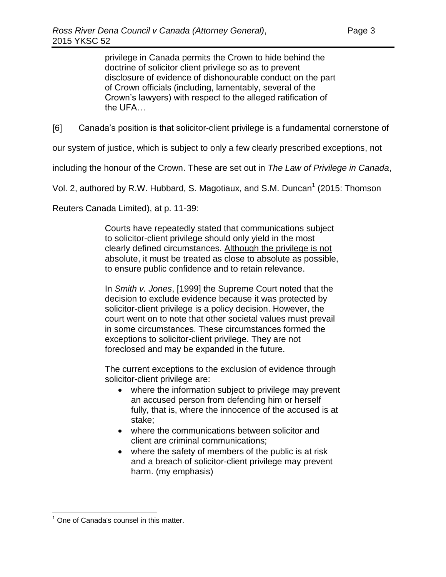privilege in Canada permits the Crown to hide behind the doctrine of solicitor client privilege so as to prevent disclosure of evidence of dishonourable conduct on the part of Crown officials (including, lamentably, several of the Crown's lawyers) with respect to the alleged ratification of the UFA…

[6] Canada's position is that solicitor-client privilege is a fundamental cornerstone of

our system of justice, which is subject to only a few clearly prescribed exceptions, not

including the honour of the Crown. These are set out in *The Law of Privilege in Canada*,

Vol. 2, authored by R.W. Hubbard, S. Magotiaux, and S.M. Duncan<sup>1</sup> (2015: Thomson

Reuters Canada Limited), at p. 11-39:

Courts have repeatedly stated that communications subject to solicitor-client privilege should only yield in the most clearly defined circumstances. Although the privilege is not absolute, it must be treated as close to absolute as possible, to ensure public confidence and to retain relevance.

In *Smith v. Jones*, [1999] the Supreme Court noted that the decision to exclude evidence because it was protected by solicitor-client privilege is a policy decision. However, the court went on to note that other societal values must prevail in some circumstances. These circumstances formed the exceptions to solicitor-client privilege. They are not foreclosed and may be expanded in the future.

The current exceptions to the exclusion of evidence through solicitor-client privilege are:

- where the information subject to privilege may prevent an accused person from defending him or herself fully, that is, where the innocence of the accused is at stake;
- where the communications between solicitor and client are criminal communications;
- where the safety of members of the public is at risk and a breach of solicitor-client privilege may prevent harm. (my emphasis)

 $\overline{a}$  $<sup>1</sup>$  One of Canada's counsel in this matter.</sup>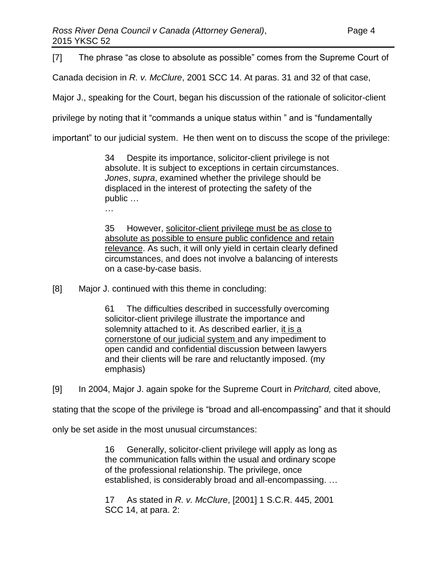[7] The phrase "as close to absolute as possible" comes from the Supreme Court of

Canada decision in *R. v. McClure*, 2001 SCC 14. At paras. 31 and 32 of that case,

Major J., speaking for the Court, began his discussion of the rationale of solicitor-client

privilege by noting that it "commands a unique status within " and is "fundamentally

important" to our judicial system. He then went on to discuss the scope of the privilege:

34 Despite its importance, solicitor-client privilege is not absolute. It is subject to exceptions in certain circumstances. *Jones*, *supra*, examined whether the privilege should be displaced in the interest of protecting the safety of the public …

…

35 However, solicitor-client privilege must be as close to absolute as possible to ensure public confidence and retain relevance. As such, it will only yield in certain clearly defined circumstances, and does not involve a balancing of interests on a case-by-case basis.

[8] Major J. continued with this theme in concluding:

61 The difficulties described in successfully overcoming solicitor-client privilege illustrate the importance and solemnity attached to it. As described earlier, it is a cornerstone of our judicial system and any impediment to open candid and confidential discussion between lawyers and their clients will be rare and reluctantly imposed. (my emphasis)

[9] In 2004, Major J. again spoke for the Supreme Court in *Pritchard,* cited above*,*

stating that the scope of the privilege is "broad and all-encompassing" and that it should

only be set aside in the most unusual circumstances:

16 Generally, solicitor-client privilege will apply as long as the communication falls within the usual and ordinary scope of the professional relationship. The privilege, once established, is considerably broad and all-encompassing. …

17 As stated in *R. v. McClure*, [\[2001\] 1 S.C.R. 445,](http://www.lexisnexis.com/ca/legal/search/runRemoteLink.do?A=0.23264909444324744&bct=A&service=citation&risb=21_T22990839101&langcountry=CA&linkInfo=F%23CA%23SCR%23vol%251%25sel1%252001%25page%25445%25year%252001%25sel2%251%25) [2001](http://www.lexisnexis.com/ca/legal/search/runRemoteLink.do?A=0.05461758281216089&bct=A&service=citation&risb=21_T22990839101&langcountry=CA&linkInfo=F%23CA%23SCC%23sel1%252001%25year%252001%25decisiondate%252001%25onum%2514%25)  [SCC 14,](http://www.lexisnexis.com/ca/legal/search/runRemoteLink.do?A=0.05461758281216089&bct=A&service=citation&risb=21_T22990839101&langcountry=CA&linkInfo=F%23CA%23SCC%23sel1%252001%25year%252001%25decisiondate%252001%25onum%2514%25) at para. 2: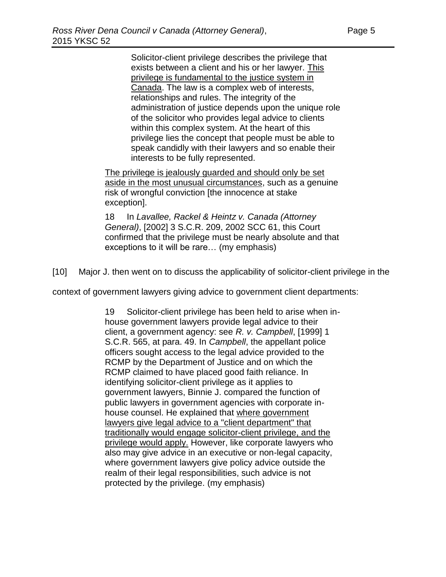Solicitor-client privilege describes the privilege that exists between a client and his or her lawyer. This privilege is fundamental to the justice system in Canada. The law is a complex web of interests, relationships and rules. The integrity of the administration of justice depends upon the unique role of the solicitor who provides legal advice to clients within this complex system. At the heart of this privilege lies the concept that people must be able to speak candidly with their lawyers and so enable their interests to be fully represented.

The privilege is jealously guarded and should only be set aside in the most unusual circumstances, such as a genuine risk of wrongful conviction [the innocence at stake exception].

18 In *Lavallee, Rackel & Heintz v. Canada (Attorney General)*, [\[2002\] 3 S.C.R. 209,](http://www.lexisnexis.com/ca/legal/search/runRemoteLink.do?A=0.7791289937433324&bct=A&service=citation&risb=21_T22990839101&langcountry=CA&linkInfo=F%23CA%23SCR%23vol%253%25sel1%252002%25page%25209%25year%252002%25sel2%253%25) [2002 SCC 61,](http://www.lexisnexis.com/ca/legal/search/runRemoteLink.do?A=0.838582989011068&bct=A&service=citation&risb=21_T22990839101&langcountry=CA&linkInfo=F%23CA%23SCC%23sel1%252002%25year%252002%25decisiondate%252002%25onum%2561%25) this Court confirmed that the privilege must be nearly absolute and that exceptions to it will be rare… (my emphasis)

[10] Major J. then went on to discuss the applicability of solicitor-client privilege in the

context of government lawyers giving advice to government client departments:

19 Solicitor-client privilege has been held to arise when inhouse government lawyers provide legal advice to their client, a government agency: see *R. v. Campbell*, [\[1999\] 1](http://www.lexisnexis.com/ca/legal/search/runRemoteLink.do?A=0.49879134757312404&bct=A&service=citation&risb=21_T22990839101&langcountry=CA&linkInfo=F%23CA%23SCR%23vol%251%25sel1%251999%25page%25565%25year%251999%25sel2%251%25)  [S.C.R. 565,](http://www.lexisnexis.com/ca/legal/search/runRemoteLink.do?A=0.49879134757312404&bct=A&service=citation&risb=21_T22990839101&langcountry=CA&linkInfo=F%23CA%23SCR%23vol%251%25sel1%251999%25page%25565%25year%251999%25sel2%251%25) at para. 49. In *Campbell*, the appellant police officers sought access to the legal advice provided to the RCMP by the Department of Justice and on which the RCMP claimed to have placed good faith reliance. In identifying solicitor-client privilege as it applies to government lawyers, Binnie J. compared the function of public lawyers in government agencies with corporate inhouse counsel. He explained that where government lawyers give legal advice to a "client department" that traditionally would engage solicitor-client privilege, and the privilege would apply. However, like corporate lawyers who also may give advice in an executive or non-legal capacity, where government lawyers give policy advice outside the realm of their legal responsibilities, such advice is not protected by the privilege. (my emphasis)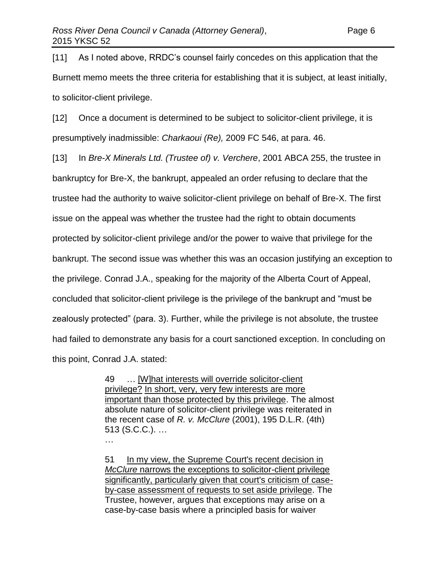[11] As I noted above, RRDC's counsel fairly concedes on this application that the Burnett memo meets the three criteria for establishing that it is subject, at least initially, to solicitor-client privilege.

[12] Once a document is determined to be subject to solicitor-client privilege, it is presumptively inadmissible: *Charkaoui (Re),* 2009 FC 546, at para. 46.

[13] In *Bre-X Minerals Ltd. (Trustee of) v. Verchere*, 2001 ABCA 255, the trustee in bankruptcy for Bre-X, the bankrupt, appealed an order refusing to declare that the trustee had the authority to waive solicitor-client privilege on behalf of Bre-X. The first issue on the appeal was whether the trustee had the right to obtain documents protected by solicitor-client privilege and/or the power to waive that privilege for the bankrupt. The second issue was whether this was an occasion justifying an exception to the privilege. Conrad J.A., speaking for the majority of the Alberta Court of Appeal, concluded that solicitor-client privilege is the privilege of the bankrupt and "must be zealously protected" (para. 3). Further, while the privilege is not absolute, the trustee had failed to demonstrate any basis for a court sanctioned exception. In concluding on this point, Conrad J.A. stated:

> 49 … [W]hat interests will override solicitor-client privilege? In short, very, very few interests are more important than those protected by this privilege. The almost absolute nature of solicitor-client privilege was reiterated in the recent case of *R. v. McClure* [\(2001\), 195 D.L.R. \(4th\)](http://www.lexisnexis.com/ca/legal/search/runRemoteLink.do?A=0.20462384737934702&bct=A&service=citation&risb=21_T22997076739&langcountry=CA&linkInfo=F%23CA%23DLR4%23vol%25195%25sel1%252001%25page%25513%25year%252001%25sel2%25195%25decisiondate%252001%25)  [513](http://www.lexisnexis.com/ca/legal/search/runRemoteLink.do?A=0.20462384737934702&bct=A&service=citation&risb=21_T22997076739&langcountry=CA&linkInfo=F%23CA%23DLR4%23vol%25195%25sel1%252001%25page%25513%25year%252001%25sel2%25195%25decisiondate%252001%25) (S.C.C.). …

…

51 In my view, the Supreme Court's recent decision in *McClure* narrows the exceptions to solicitor-client privilege significantly, particularly given that court's criticism of caseby-case assessment of requests to set aside privilege. The Trustee, however, argues that exceptions may arise on a case-by-case basis where a principled basis for waiver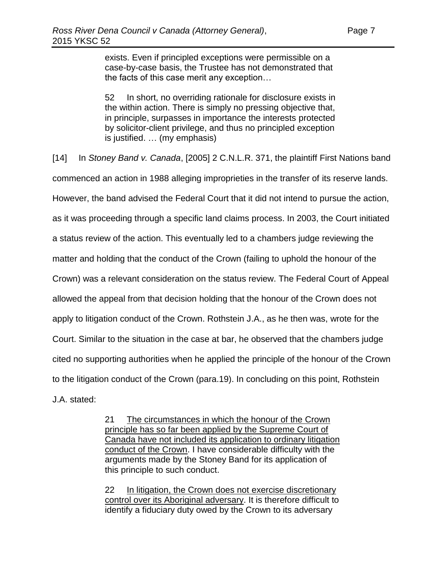exists. Even if principled exceptions were permissible on a case-by-case basis, the Trustee has not demonstrated that the facts of this case merit any exception…

52 In short, no overriding rationale for disclosure exists in the within action. There is simply no pressing objective that, in principle, surpasses in importance the interests protected by solicitor-client privilege, and thus no principled exception is justified. … (my emphasis)

[14] In *Stoney Band v. Canada*, [2005] 2 C.N.L.R. 371, the plaintiff First Nations band commenced an action in 1988 alleging improprieties in the transfer of its reserve lands. However, the band advised the Federal Court that it did not intend to pursue the action, as it was proceeding through a specific land claims process. In 2003, the Court initiated a status review of the action. This eventually led to a chambers judge reviewing the matter and holding that the conduct of the Crown (failing to uphold the honour of the Crown) was a relevant consideration on the status review. The Federal Court of Appeal allowed the appeal from that decision holding that the honour of the Crown does not apply to litigation conduct of the Crown. Rothstein J.A., as he then was, wrote for the Court. Similar to the situation in the case at bar, he observed that the chambers judge cited no supporting authorities when he applied the principle of the honour of the Crown to the litigation conduct of the Crown (para.19). In concluding on this point, Rothstein J.A. stated:

> 21 The circumstances in which the honour of the Crown principle has so far been applied by the Supreme Court of Canada have not included its application to ordinary litigation conduct of the Crown. I have considerable difficulty with the arguments made by the Stoney Band for its application of this principle to such conduct.

> 22 In litigation, the Crown does not exercise discretionary control over its Aboriginal adversary. It is therefore difficult to identify a fiduciary duty owed by the Crown to its adversary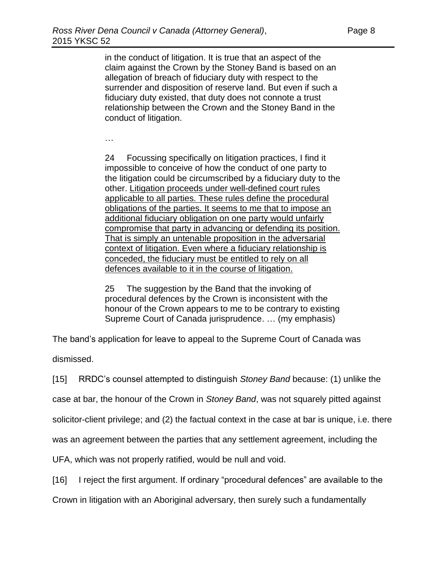in the conduct of litigation. It is true that an aspect of the claim against the Crown by the Stoney Band is based on an allegation of breach of fiduciary duty with respect to the surrender and disposition of reserve land. But even if such a fiduciary duty existed, that duty does not connote a trust relationship between the Crown and the Stoney Band in the conduct of litigation.

…

24 Focussing specifically on litigation practices, I find it impossible to conceive of how the conduct of one party to the litigation could be circumscribed by a fiduciary duty to the other. Litigation proceeds under well-defined court rules applicable to all parties. These rules define the procedural obligations of the parties. It seems to me that to impose an additional fiduciary obligation on one party would unfairly compromise that party in advancing or defending its position. That is simply an untenable proposition in the adversarial context of litigation. Even where a fiduciary relationship is conceded, the fiduciary must be entitled to rely on all defences available to it in the course of litigation.

25 The suggestion by the Band that the invoking of procedural defences by the Crown is inconsistent with the honour of the Crown appears to me to be contrary to existing Supreme Court of Canada jurisprudence. … (my emphasis)

The band's application for leave to appeal to the Supreme Court of Canada was

dismissed.

[15] RRDC's counsel attempted to distinguish *Stoney Band* because: (1) unlike the

case at bar, the honour of the Crown in *Stoney Band*, was not squarely pitted against

solicitor-client privilege; and (2) the factual context in the case at bar is unique, i.e. there

was an agreement between the parties that any settlement agreement, including the

UFA, which was not properly ratified, would be null and void.

[16] I reject the first argument. If ordinary "procedural defences" are available to the

Crown in litigation with an Aboriginal adversary, then surely such a fundamentally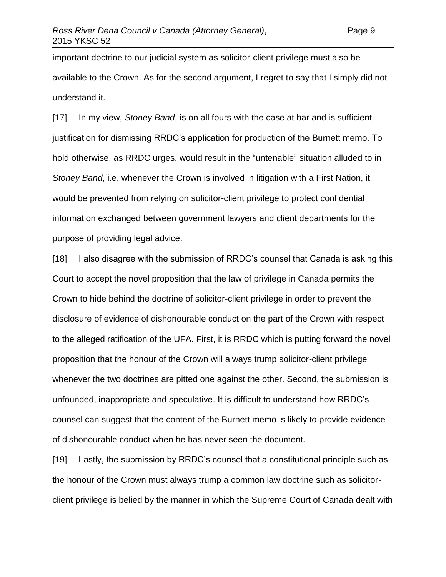important doctrine to our judicial system as solicitor-client privilege must also be available to the Crown. As for the second argument, I regret to say that I simply did not understand it.

[17] In my view, *Stoney Band*, is on all fours with the case at bar and is sufficient justification for dismissing RRDC's application for production of the Burnett memo. To hold otherwise, as RRDC urges, would result in the "untenable" situation alluded to in *Stoney Band*, i.e. whenever the Crown is involved in litigation with a First Nation, it would be prevented from relying on solicitor-client privilege to protect confidential information exchanged between government lawyers and client departments for the purpose of providing legal advice.

[18] I also disagree with the submission of RRDC's counsel that Canada is asking this Court to accept the novel proposition that the law of privilege in Canada permits the Crown to hide behind the doctrine of solicitor-client privilege in order to prevent the disclosure of evidence of dishonourable conduct on the part of the Crown with respect to the alleged ratification of the UFA. First, it is RRDC which is putting forward the novel proposition that the honour of the Crown will always trump solicitor-client privilege whenever the two doctrines are pitted one against the other. Second, the submission is unfounded, inappropriate and speculative. It is difficult to understand how RRDC's counsel can suggest that the content of the Burnett memo is likely to provide evidence of dishonourable conduct when he has never seen the document.

[19] Lastly, the submission by RRDC's counsel that a constitutional principle such as the honour of the Crown must always trump a common law doctrine such as solicitorclient privilege is belied by the manner in which the Supreme Court of Canada dealt with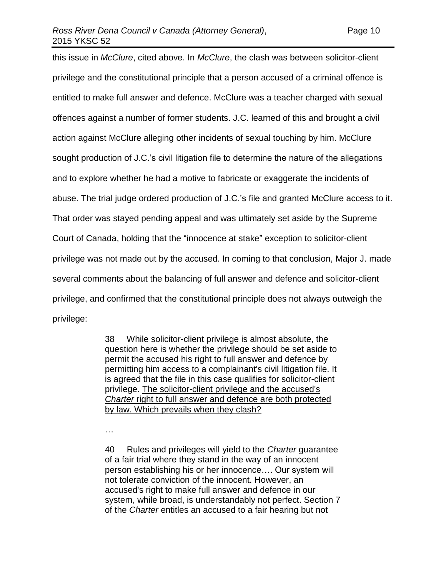this issue in *McClure*, cited above. In *McClure*, the clash was between solicitor-client privilege and the constitutional principle that a person accused of a criminal offence is entitled to make full answer and defence. McClure was a teacher charged with sexual offences against a number of former students. J.C. learned of this and brought a civil action against McClure alleging other incidents of sexual touching by him. McClure sought production of J.C.'s civil litigation file to determine the nature of the allegations and to explore whether he had a motive to fabricate or exaggerate the incidents of abuse. The trial judge ordered production of J.C.'s file and granted McClure access to it. That order was stayed pending appeal and was ultimately set aside by the Supreme Court of Canada, holding that the "innocence at stake" exception to solicitor-client privilege was not made out by the accused. In coming to that conclusion, Major J. made several comments about the balancing of full answer and defence and solicitor-client privilege, and confirmed that the constitutional principle does not always outweigh the privilege:

> 38 While solicitor-client privilege is almost absolute, the question here is whether the privilege should be set aside to permit the accused his right to full answer and defence by permitting him access to a complainant's civil litigation file. It is agreed that the file in this case qualifies for solicitor-client privilege. The solicitor-client privilege and the accused's *Charter* right to full answer and defence are both protected by law. Which prevails when they clash?

…

40 Rules and privileges will yield to the *Charter* guarantee of a fair trial where they stand in the way of an innocent person establishing his or her innocence…. Our system will not tolerate conviction of the innocent. However, an accused's right to make full answer and defence in our system, while broad, is understandably not perfect. Section 7 of the *Charter* entitles an accused to a fair hearing but not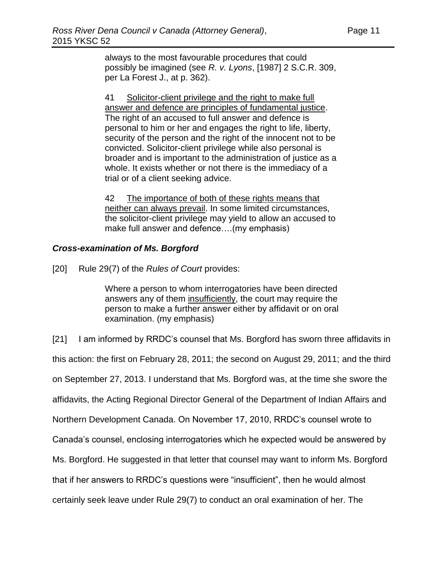always to the most favourable procedures that could possibly be imagined (see *R. v. Lyons*, [\[1987\] 2 S.C.R. 309,](http://www.lexisnexis.com/ca/legal/search/runRemoteLink.do?A=0.5036266464418162&bct=A&service=citation&risb=21_T22998692392&langcountry=CA&linkInfo=F%23CA%23SCR%23vol%252%25sel1%251987%25page%25309%25year%251987%25sel2%252%25) per La Forest J., at p. 362).

41 Solicitor-client privilege and the right to make full answer and defence are principles of fundamental justice. The right of an accused to full answer and defence is personal to him or her and engages the right to life, liberty, security of the person and the right of the innocent not to be convicted. Solicitor-client privilege while also personal is broader and is important to the administration of justice as a whole. It exists whether or not there is the immediacy of a trial or of a client seeking advice.

42 The importance of both of these rights means that neither can always prevail. In some limited circumstances, the solicitor-client privilege may yield to allow an accused to make full answer and defence….(my emphasis)

## *Cross-examination of Ms. Borgford*

[20] Rule 29(7) of the *Rules of Court* provides:

Where a person to whom interrogatories have been directed answers any of them insufficiently, the court may require the person to make a further answer either by affidavit or on oral examination. (my emphasis)

[21] I am informed by RRDC's counsel that Ms. Borgford has sworn three affidavits in this action: the first on February 28, 2011; the second on August 29, 2011; and the third on September 27, 2013. I understand that Ms. Borgford was, at the time she swore the affidavits, the Acting Regional Director General of the Department of Indian Affairs and Northern Development Canada. On November 17, 2010, RRDC's counsel wrote to Canada's counsel, enclosing interrogatories which he expected would be answered by Ms. Borgford. He suggested in that letter that counsel may want to inform Ms. Borgford that if her answers to RRDC's questions were "insufficient", then he would almost certainly seek leave under Rule 29(7) to conduct an oral examination of her. The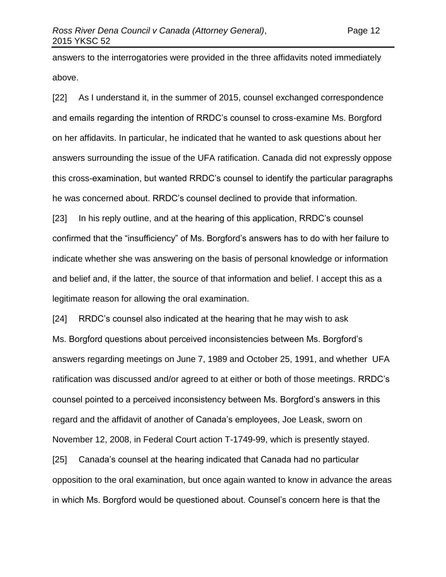answers to the interrogatories were provided in the three affidavits noted immediately above.

[22] As I understand it, in the summer of 2015, counsel exchanged correspondence and emails regarding the intention of RRDC's counsel to cross-examine Ms. Borgford on her affidavits. In particular, he indicated that he wanted to ask questions about her answers surrounding the issue of the UFA ratification. Canada did not expressly oppose this cross-examination, but wanted RRDC's counsel to identify the particular paragraphs he was concerned about. RRDC's counsel declined to provide that information.

[23] In his reply outline, and at the hearing of this application, RRDC's counsel confirmed that the "insufficiency" of Ms. Borgford's answers has to do with her failure to indicate whether she was answering on the basis of personal knowledge or information and belief and, if the latter, the source of that information and belief. I accept this as a legitimate reason for allowing the oral examination.

[24] RRDC's counsel also indicated at the hearing that he may wish to ask Ms. Borgford questions about perceived inconsistencies between Ms. Borgford's answers regarding meetings on June 7, 1989 and October 25, 1991, and whether UFA ratification was discussed and/or agreed to at either or both of those meetings. RRDC's counsel pointed to a perceived inconsistency between Ms. Borgford's answers in this regard and the affidavit of another of Canada's employees, Joe Leask, sworn on November 12, 2008, in Federal Court action T-1749-99, which is presently stayed.

[25] Canada's counsel at the hearing indicated that Canada had no particular opposition to the oral examination, but once again wanted to know in advance the areas in which Ms. Borgford would be questioned about. Counsel's concern here is that the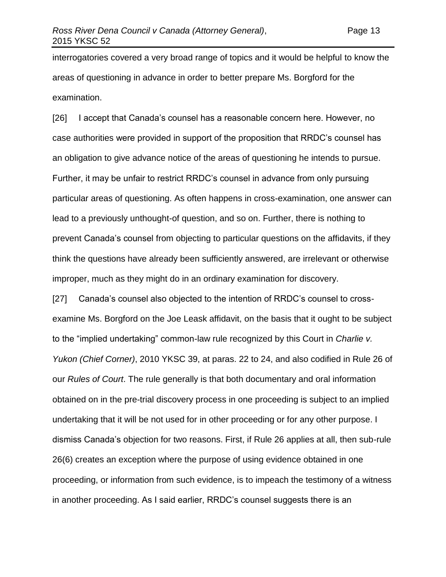interrogatories covered a very broad range of topics and it would be helpful to know the areas of questioning in advance in order to better prepare Ms. Borgford for the examination.

[26] I accept that Canada's counsel has a reasonable concern here. However, no case authorities were provided in support of the proposition that RRDC's counsel has an obligation to give advance notice of the areas of questioning he intends to pursue. Further, it may be unfair to restrict RRDC's counsel in advance from only pursuing particular areas of questioning. As often happens in cross-examination, one answer can lead to a previously unthought-of question, and so on. Further, there is nothing to prevent Canada's counsel from objecting to particular questions on the affidavits, if they think the questions have already been sufficiently answered, are irrelevant or otherwise improper, much as they might do in an ordinary examination for discovery.

[27] Canada's counsel also objected to the intention of RRDC's counsel to crossexamine Ms. Borgford on the Joe Leask affidavit, on the basis that it ought to be subject to the "implied undertaking" common-law rule recognized by this Court in *Charlie v. Yukon (Chief Corner)*, 2010 YKSC 39, at paras. 22 to 24, and also codified in Rule 26 of our *Rules of Court*. The rule generally is that both documentary and oral information obtained on in the pre-trial discovery process in one proceeding is subject to an implied undertaking that it will be not used for in other proceeding or for any other purpose. I dismiss Canada's objection for two reasons. First, if Rule 26 applies at all, then sub-rule 26(6) creates an exception where the purpose of using evidence obtained in one proceeding, or information from such evidence, is to impeach the testimony of a witness in another proceeding. As I said earlier, RRDC's counsel suggests there is an